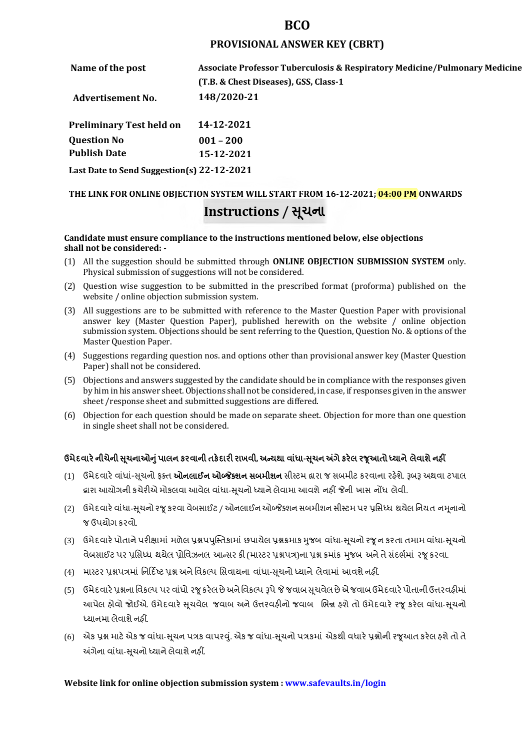## **BCO**

## **PROVISIONAL ANSWER KEY (CBRT)**

| Name of the post                           | <b>Associate Professor Tuberculosis &amp; Respiratory Medicine/Pulmonary Medicine</b> |  |
|--------------------------------------------|---------------------------------------------------------------------------------------|--|
|                                            | (T.B. & Chest Diseases), GSS, Class-1                                                 |  |
| <b>Advertisement No.</b>                   | 148/2020-21                                                                           |  |
| <b>Preliminary Test held on</b>            | 14-12-2021                                                                            |  |
| <b>Question No</b>                         | $001 - 200$                                                                           |  |
| <b>Publish Date</b>                        | 15-12-2021                                                                            |  |
| Last Date to Send Suggestion(s) 22-12-2021 |                                                                                       |  |

# **THE LINK FOR ONLINE OBJECTION SYSTEM WILL START FROM 16-12-2021; 04:00 PM ONWARDS Instructions / Ʌચના ૂ**

#### **Candidate must ensure compliance to the instructions mentioned below, else objections shall not be considered: -**

- (1) All the suggestion should be submitted through **ONLINE OBJECTION SUBMISSION SYSTEM** only. Physical submission of suggestions will not be considered.
- (2) Question wise suggestion to be submitted in the prescribed format (proforma) published on the website / online objection submission system.
- (3) All suggestions are to be submitted with reference to the Master Question Paper with provisional answer key (Master Question Paper), published herewith on the website / online objection submission system. Objections should be sent referring to the Question, Question No. & options of the Master Question Paper.
- (4) Suggestions regarding question nos. and options other than provisional answer key (Master Question Paper) shall not be considered.
- (5) Objections and answers suggested by the candidate should be in compliance with the responses given by him in his answer sheet. Objections shall not be considered, in case, if responses given in the answer sheet /response sheet and submitted suggestions are differed.
- (6) Objection for each question should be made on separate sheet. Objection for more than one question in single sheet shall not be considered.

## **ઉમેદવાર°નીચેની Ʌ ૂચનાઓȵુંપાલન કરવાની તક°દાર રાખવી, અƛયથા વા ંધા-Ʌ ૂચન Ӕગેકર°લ રȩૂઆતો ƚયાને લેવાશેનહӄ**

- (1) ઉમેદવારે વાંધાં-સુચનો ફક્ત **ઓનલાઈન ઓબ્જેક્શન સબમીશન** સીસ્ટમ હ્રારા જ સબમીટ કરવાના રહેશે. રૂબરૂ અથવા ટપાલ દ્વારા આયોગની કચેરીએ મોકલવા આવેલ વાંધા-સૂચનો ધ્યાને લેવામા આવશે નહીં જેની ખાસ નોંધ લેવી.
- (2) ઉમેદવારે વાંધા-સચનો રજ કરવા વેબસાઈટ / ઓનલાઈન ઓબ્જેક્શન સબમીશન સીસ્ટમ પર પ્રસિધ્ધ થયેલ નિયત નમનાનો જ ઉપયોગ કરવો.
- (3) ઉમેદવારે પોતાને પરીક્ષામાં મળેલ પ્રશ્નપપુસ્તિકામાં છપાયેલ પ્રશ્નક્રમાક મુજબ વાંધા-સૂચનો રજૂન કરતા તમામ વાંધા-સૂચનો વેબસાઈટ પર પ્રસિધ્ધ થયેલ પ્રોવિઝનલ આન્સર કી (માસ્ટર પ્રશ્નપત્ર)ના પ્રશ્ન ક્રમાંક મજબ અને તે સંદર્ભમાં ૨જ કરવા.
- (4) માસ્ટર પ્રશ્નપત્રમાં નિર્દિષ્ટ પ્રશ્ન અને વિકલ્પ સિવાયના વાંધા-સચનો ધ્યાને લેવામાં આવશે નહીં.
- (5) ઉમેદવારે પ્રશ્નના વિકલ્પ પર વાંધો રજૂ કરેલ છે અને વિકલ્પ રૂપે જે જવાબ સુચવેલ છે એ જવાબ ઉમેદવારે પોતાની ઉત્તરવહીમાં આપેલ હોવો જોઈએ. ઉમેદવારે સૂચવેલ જવાબ અને ઉત્તરવહીનો જવાબ ભિન્ન હશે તો ઉમેદવારે રજૂ કરેલ વાંધા-સૂચનો ધ્યાનમા લેવાશે નહીં.
- (6) એક પ્રશ્ન માટે એક જ વાંધા-સૂચન પત્રક વાપરવું. એક જ વાંધા-સૂચનો પત્રકમાં એકથી વધારે પ્રશ્નોની રજૂઆત કરેલ હશે તો તે અંગેના વાંધા-સુચનો ધ્યાને લેવાશે નહીં.

## **Website link for online objection submission system : www.safevaults.in/login**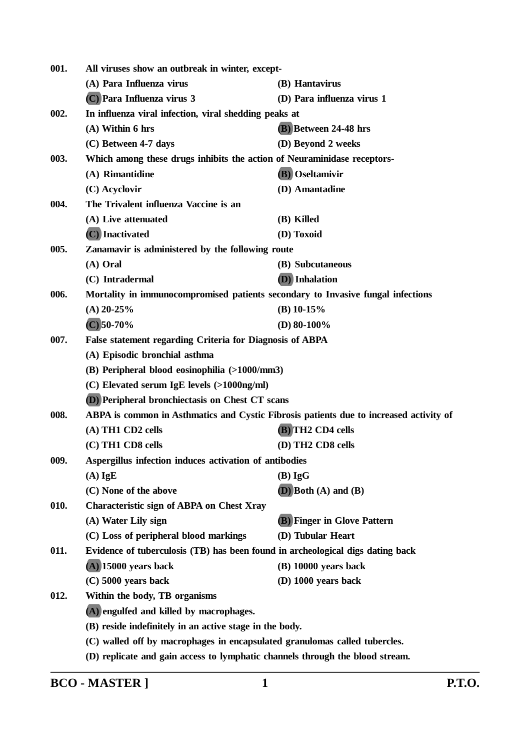| 001. | All viruses show an outbreak in winter, except-                                        |                                    |  |
|------|----------------------------------------------------------------------------------------|------------------------------------|--|
|      | (A) Para Influenza virus                                                               | (B) Hantavirus                     |  |
|      | (C) Para Influenza virus 3                                                             | (D) Para influenza virus 1         |  |
| 002. | In influenza viral infection, viral shedding peaks at                                  |                                    |  |
|      | $(A)$ Within 6 hrs                                                                     | (B) Between 24-48 hrs              |  |
|      | (C) Between 4-7 days                                                                   | (D) Beyond 2 weeks                 |  |
| 003. | Which among these drugs inhibits the action of Neuraminidase receptors-                |                                    |  |
|      | (A) Rimantidine                                                                        | (B) Oseltamivir                    |  |
|      | (C) Acyclovir                                                                          | (D) Amantadine                     |  |
| 004. | The Trivalent influenza Vaccine is an                                                  |                                    |  |
|      | (A) Live attenuated                                                                    | (B) Killed                         |  |
|      | (C) Inactivated                                                                        | (D) Toxoid                         |  |
| 005. | Zanamavir is administered by the following route                                       |                                    |  |
|      | (A) Oral                                                                               | (B) Subcutaneous                   |  |
|      | (C) Intradermal                                                                        | <b>(D)</b> Inhalation              |  |
| 006. | Mortality in immunocompromised patients secondary to Invasive fungal infections        |                                    |  |
|      | $(A)$ 20-25%                                                                           | $(B)$ 10-15%                       |  |
|      | $(C)$ 50-70%                                                                           | (D) $80-100\%$                     |  |
| 007. | False statement regarding Criteria for Diagnosis of ABPA                               |                                    |  |
|      | (A) Episodic bronchial asthma                                                          |                                    |  |
|      | (B) Peripheral blood eosinophilia (>1000/mm3)                                          |                                    |  |
|      | (C) Elevated serum IgE levels (>1000ng/ml)                                             |                                    |  |
|      | (D) Peripheral bronchiectasis on Chest CT scans                                        |                                    |  |
| 008. | ABPA is common in Asthmatics and Cystic Fibrosis patients due to increased activity of |                                    |  |
|      | (A) TH1 CD2 cells                                                                      | (B) TH2 CD4 cells                  |  |
|      | (C) TH1 CD8 cells                                                                      | (D) TH2 CD8 cells                  |  |
| 009. | Aspergillus infection induces activation of antibodies                                 |                                    |  |
|      | $(A)$ IgE                                                                              | $(B)$ IgG                          |  |
|      | (C) None of the above                                                                  | $(D)$ Both $(A)$ and $(B)$         |  |
| 010. | <b>Characteristic sign of ABPA on Chest Xray</b>                                       |                                    |  |
|      | (A) Water Lily sign                                                                    | <b>(B)</b> Finger in Glove Pattern |  |
|      | (C) Loss of peripheral blood markings                                                  | (D) Tubular Heart                  |  |
| 011. | Evidence of tuberculosis (TB) has been found in archeological digs dating back         |                                    |  |
|      | $(A)$ 15000 years back                                                                 | $(B)$ 10000 years back             |  |
|      | $(C)$ 5000 years back                                                                  | $(D)$ 1000 years back              |  |
| 012. | Within the body, TB organisms                                                          |                                    |  |
|      | (A) engulfed and killed by macrophages.                                                |                                    |  |
|      | (B) reside indefinitely in an active stage in the body.                                |                                    |  |
|      | (C) walled off by macrophages in encapsulated granulomas called tubercles.             |                                    |  |
|      | (D) replicate and gain access to lymphatic channels through the blood stream.          |                                    |  |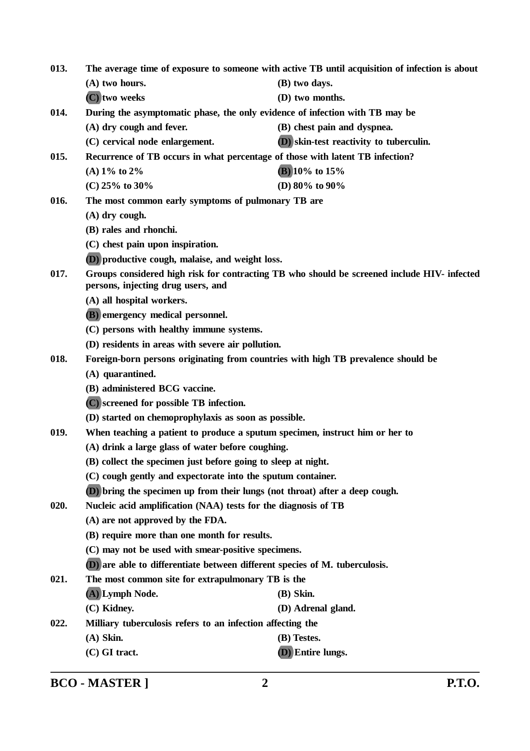| 013.                                                                                                       | The average time of exposure to someone with active TB until acquisition of infection is about |                                                                                             |  |
|------------------------------------------------------------------------------------------------------------|------------------------------------------------------------------------------------------------|---------------------------------------------------------------------------------------------|--|
|                                                                                                            | (A) two hours.                                                                                 | (B) two days.                                                                               |  |
|                                                                                                            | (C) two weeks                                                                                  | (D) two months.                                                                             |  |
| 014.                                                                                                       | During the asymptomatic phase, the only evidence of infection with TB may be                   |                                                                                             |  |
|                                                                                                            | (A) dry cough and fever.                                                                       | (B) chest pain and dyspnea.                                                                 |  |
|                                                                                                            | (C) cervical node enlargement.                                                                 | (D) skin-test reactivity to tuberculin.                                                     |  |
| 015.                                                                                                       | Recurrence of TB occurs in what percentage of those with latent TB infection?                  |                                                                                             |  |
|                                                                                                            | (A) $1\%$ to $2\%$                                                                             | $(B)$ 10% to 15%                                                                            |  |
|                                                                                                            | (C) $25\%$ to $30\%$                                                                           | (D) $80\%$ to $90\%$                                                                        |  |
| 016.                                                                                                       | The most common early symptoms of pulmonary TB are                                             |                                                                                             |  |
|                                                                                                            | $(A)$ dry cough.                                                                               |                                                                                             |  |
|                                                                                                            | (B) rales and rhonchi.                                                                         |                                                                                             |  |
|                                                                                                            | (C) chest pain upon inspiration.                                                               |                                                                                             |  |
|                                                                                                            | (D) productive cough, malaise, and weight loss.                                                |                                                                                             |  |
| 017.                                                                                                       | persons, injecting drug users, and                                                             | Groups considered high risk for contracting TB who should be screened include HIV- infected |  |
|                                                                                                            | (A) all hospital workers.                                                                      |                                                                                             |  |
|                                                                                                            | (B) emergency medical personnel.                                                               |                                                                                             |  |
|                                                                                                            | (C) persons with healthy immune systems.                                                       |                                                                                             |  |
|                                                                                                            | (D) residents in areas with severe air pollution.                                              |                                                                                             |  |
| 018.                                                                                                       | Foreign-born persons originating from countries with high TB prevalence should be              |                                                                                             |  |
|                                                                                                            | (A) quarantined.                                                                               |                                                                                             |  |
|                                                                                                            | (B) administered BCG vaccine.                                                                  |                                                                                             |  |
|                                                                                                            | (C) screened for possible TB infection.                                                        |                                                                                             |  |
|                                                                                                            | (D) started on chemoprophylaxis as soon as possible.                                           |                                                                                             |  |
| 019.                                                                                                       | When teaching a patient to produce a sputum specimen, instruct him or her to                   |                                                                                             |  |
| (A) drink a large glass of water before coughing.                                                          |                                                                                                |                                                                                             |  |
|                                                                                                            | (B) collect the specimen just before going to sleep at night.                                  |                                                                                             |  |
|                                                                                                            | (C) cough gently and expectorate into the sputum container.                                    |                                                                                             |  |
|                                                                                                            | (D) bring the specimen up from their lungs (not throat) after a deep cough.                    |                                                                                             |  |
| Nucleic acid amplification (NAA) tests for the diagnosis of TB<br>020.<br>(A) are not approved by the FDA. |                                                                                                |                                                                                             |  |
|                                                                                                            |                                                                                                |                                                                                             |  |
|                                                                                                            | (B) require more than one month for results.                                                   |                                                                                             |  |
|                                                                                                            | (C) may not be used with smear-positive specimens.                                             |                                                                                             |  |
|                                                                                                            | (D) are able to differentiate between different species of M. tuberculosis.                    |                                                                                             |  |
| 021.                                                                                                       | The most common site for extrapulmonary TB is the                                              |                                                                                             |  |
|                                                                                                            | (A) Lymph Node.                                                                                | $(B)$ Skin.                                                                                 |  |
|                                                                                                            | (C) Kidney.                                                                                    | (D) Adrenal gland.                                                                          |  |
| 022.                                                                                                       | Milliary tuberculosis refers to an infection affecting the                                     |                                                                                             |  |
|                                                                                                            | $(A)$ Skin.                                                                                    | (B) Testes.                                                                                 |  |
|                                                                                                            | (C) GI tract.                                                                                  | (D) Entire lungs.                                                                           |  |

**BCO - MASTER ] 2 P.T.O.**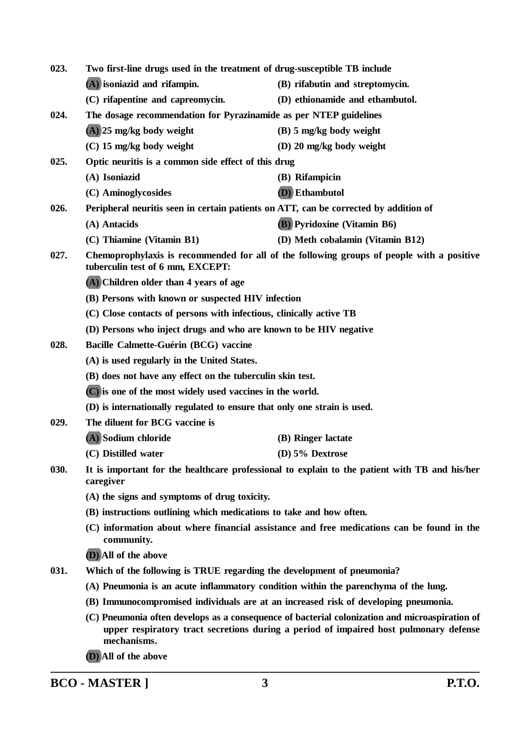| 023. | Two first-line drugs used in the treatment of drug-susceptible TB include                                  |                                                                                                                                                                                         |
|------|------------------------------------------------------------------------------------------------------------|-----------------------------------------------------------------------------------------------------------------------------------------------------------------------------------------|
|      | (A) isoniazid and rifampin.                                                                                | (B) rifabutin and streptomycin.                                                                                                                                                         |
|      | (C) rifapentine and capreomycin.                                                                           | (D) ethionamide and ethambutol.                                                                                                                                                         |
| 024. | The dosage recommendation for Pyrazinamide as per NTEP guidelines                                          |                                                                                                                                                                                         |
|      | $(A)$ 25 mg/kg body weight                                                                                 | $(B)$ 5 mg/kg body weight                                                                                                                                                               |
|      | $(C)$ 15 mg/kg body weight                                                                                 | (D) 20 mg/kg body weight                                                                                                                                                                |
| 025. | Optic neuritis is a common side effect of this drug                                                        |                                                                                                                                                                                         |
|      | (A) Isoniazid                                                                                              | (B) Rifampicin                                                                                                                                                                          |
|      | (C) Aminoglycosides                                                                                        | (D) Ethambutol                                                                                                                                                                          |
| 026. | Peripheral neuritis seen in certain patients on ATT, can be corrected by addition of                       |                                                                                                                                                                                         |
|      | (A) Antacids                                                                                               | <b>(B)</b> Pyridoxine (Vitamin B6)                                                                                                                                                      |
|      | (C) Thiamine (Vitamin B1)                                                                                  | (D) Meth cobalamin (Vitamin B12)                                                                                                                                                        |
| 027. | tuberculin test of 6 mm, EXCEPT:                                                                           | Chemoprophylaxis is recommended for all of the following groups of people with a positive                                                                                               |
|      | (A) Children older than 4 years of age                                                                     |                                                                                                                                                                                         |
|      | (B) Persons with known or suspected HIV infection                                                          |                                                                                                                                                                                         |
|      | (C) Close contacts of persons with infectious, clinically active TB                                        |                                                                                                                                                                                         |
|      | (D) Persons who inject drugs and who are known to be HIV negative                                          |                                                                                                                                                                                         |
| 028. | Bacille Calmette-Guérin (BCG) vaccine                                                                      |                                                                                                                                                                                         |
|      | (A) is used regularly in the United States.                                                                |                                                                                                                                                                                         |
|      | (B) does not have any effect on the tuberculin skin test.                                                  |                                                                                                                                                                                         |
|      | (C) is one of the most widely used vaccines in the world.                                                  |                                                                                                                                                                                         |
|      | (D) is internationally regulated to ensure that only one strain is used.                                   |                                                                                                                                                                                         |
| 029. | The diluent for BCG vaccine is                                                                             |                                                                                                                                                                                         |
|      | (A) Sodium chloride                                                                                        | (B) Ringer lactate                                                                                                                                                                      |
|      | (C) Distilled water                                                                                        | (D) $5\%$ Dextrose                                                                                                                                                                      |
| 030. | It is important for the healthcare professional to explain to the patient with TB and his/her<br>caregiver |                                                                                                                                                                                         |
|      | (A) the signs and symptoms of drug toxicity.                                                               |                                                                                                                                                                                         |
|      | (B) instructions outlining which medications to take and how often.                                        |                                                                                                                                                                                         |
|      | community.                                                                                                 | (C) information about where financial assistance and free medications can be found in the                                                                                               |
|      | (D) All of the above                                                                                       |                                                                                                                                                                                         |
| 031. | Which of the following is TRUE regarding the development of pneumonia?                                     |                                                                                                                                                                                         |
|      | (A) Pneumonia is an acute inflammatory condition within the parenchyma of the lung.                        |                                                                                                                                                                                         |
|      | (B) Immunocompromised individuals are at an increased risk of developing pneumonia.                        |                                                                                                                                                                                         |
|      | mechanisms.                                                                                                | (C) Pneumonia often develops as a consequence of bacterial colonization and microaspiration of<br>upper respiratory tract secretions during a period of impaired host pulmonary defense |

**(D) All of the above**

**BCO - MASTER ] 3 P.T.O.**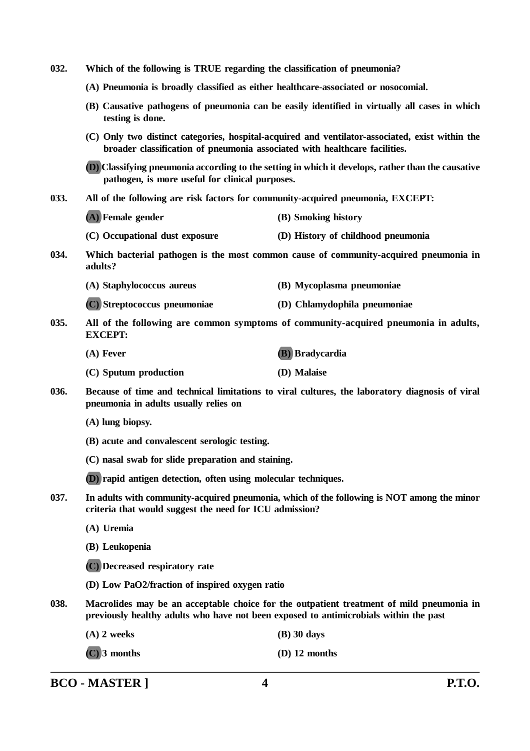| 032.                                                                                                                                                          | Which of the following is TRUE regarding the classification of pneumonia?                                         |                                                                                                                                                                                   |  |  |
|---------------------------------------------------------------------------------------------------------------------------------------------------------------|-------------------------------------------------------------------------------------------------------------------|-----------------------------------------------------------------------------------------------------------------------------------------------------------------------------------|--|--|
|                                                                                                                                                               | (A) Pneumonia is broadly classified as either healthcare-associated or nosocomial.                                |                                                                                                                                                                                   |  |  |
|                                                                                                                                                               | (B) Causative pathogens of pneumonia can be easily identified in virtually all cases in which<br>testing is done. |                                                                                                                                                                                   |  |  |
|                                                                                                                                                               | broader classification of pneumonia associated with healthcare facilities.                                        | (C) Only two distinct categories, hospital-acquired and ventilator-associated, exist within the                                                                                   |  |  |
|                                                                                                                                                               |                                                                                                                   | (D) Classifying pneumonia according to the setting in which it develops, rather than the causative<br>pathogen, is more useful for clinical purposes.                             |  |  |
| 033.<br>All of the following are risk factors for community-acquired pneumonia, EXCEPT:                                                                       |                                                                                                                   |                                                                                                                                                                                   |  |  |
|                                                                                                                                                               | (A) Female gender                                                                                                 | (B) Smoking history                                                                                                                                                               |  |  |
|                                                                                                                                                               | (C) Occupational dust exposure                                                                                    | (D) History of childhood pneumonia                                                                                                                                                |  |  |
| 034.                                                                                                                                                          | adults?                                                                                                           | Which bacterial pathogen is the most common cause of community-acquired pneumonia in                                                                                              |  |  |
|                                                                                                                                                               | (A) Staphylococcus aureus                                                                                         | (B) Mycoplasma pneumoniae                                                                                                                                                         |  |  |
|                                                                                                                                                               | (C) Streptococcus pneumoniae                                                                                      | (D) Chlamydophila pneumoniae                                                                                                                                                      |  |  |
| 035.                                                                                                                                                          | <b>EXCEPT:</b>                                                                                                    | All of the following are common symptoms of community-acquired pneumonia in adults,                                                                                               |  |  |
|                                                                                                                                                               | $(A)$ Fever                                                                                                       | (B) Bradycardia                                                                                                                                                                   |  |  |
|                                                                                                                                                               | (C) Sputum production                                                                                             | (D) Malaise                                                                                                                                                                       |  |  |
| 036.                                                                                                                                                          | pneumonia in adults usually relies on                                                                             | Because of time and technical limitations to viral cultures, the laboratory diagnosis of viral                                                                                    |  |  |
|                                                                                                                                                               | (A) lung biopsy.                                                                                                  |                                                                                                                                                                                   |  |  |
|                                                                                                                                                               | (B) acute and convalescent serologic testing.                                                                     |                                                                                                                                                                                   |  |  |
|                                                                                                                                                               | (C) nasal swab for slide preparation and staining.                                                                |                                                                                                                                                                                   |  |  |
|                                                                                                                                                               | (D) rapid antigen detection, often using molecular techniques.                                                    |                                                                                                                                                                                   |  |  |
| 037.<br>In adults with community-acquired pneumonia, which of the following is NOT among the minor<br>criteria that would suggest the need for ICU admission? |                                                                                                                   |                                                                                                                                                                                   |  |  |
|                                                                                                                                                               | (A) Uremia                                                                                                        |                                                                                                                                                                                   |  |  |
|                                                                                                                                                               | (B) Leukopenia                                                                                                    |                                                                                                                                                                                   |  |  |
|                                                                                                                                                               | (C) Decreased respiratory rate                                                                                    |                                                                                                                                                                                   |  |  |
|                                                                                                                                                               | (D) Low PaO2/fraction of inspired oxygen ratio                                                                    |                                                                                                                                                                                   |  |  |
| 038.                                                                                                                                                          |                                                                                                                   | Macrolides may be an acceptable choice for the outpatient treatment of mild pneumonia in<br>previously healthy adults who have not been exposed to antimicrobials within the past |  |  |
|                                                                                                                                                               | $(A)$ 2 weeks                                                                                                     | $(B)$ 30 days                                                                                                                                                                     |  |  |
|                                                                                                                                                               | $(C)$ 3 months                                                                                                    | $(D)$ 12 months                                                                                                                                                                   |  |  |

**BCO - MASTER ] 4 P.T.O.**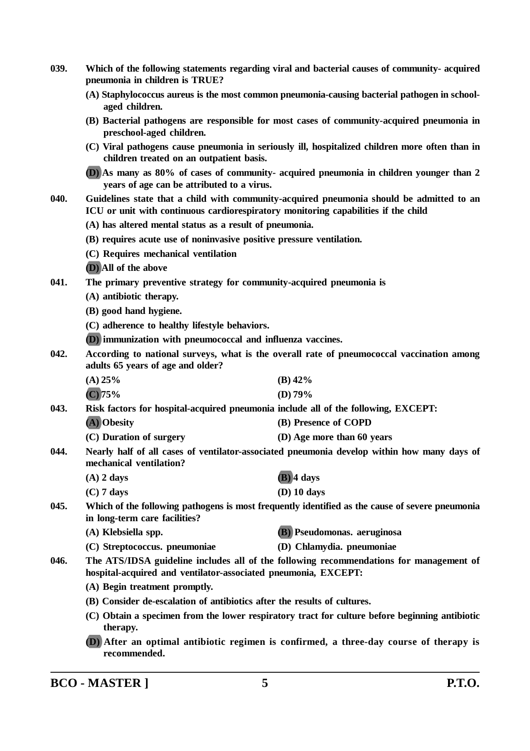- **039. Which of the following statements regarding viral and bacterial causes of community- acquired pneumonia in children is TRUE?**
	- **(A) Staphylococcus aureus is the most common pneumonia-causing bacterial pathogen in schoolaged children.**
	- **(B) Bacterial pathogens are responsible for most cases of community-acquired pneumonia in preschool-aged children.**
	- **(C) Viral pathogens cause pneumonia in seriously ill, hospitalized children more often than in children treated on an outpatient basis.**

**(D) As many as 80% of cases of community- acquired pneumonia in children younger than 2 years of age can be attributed to a virus.**

- **040. Guidelines state that a child with community-acquired pneumonia should be admitted to an ICU or unit with continuous cardiorespiratory monitoring capabilities if the child**
	- **(A) has altered mental status as a result of pneumonia.**
	- **(B) requires acute use of noninvasive positive pressure ventilation.**
	- **(C) Requires mechanical ventilation**
	- **(D) All of the above**
- **041. The primary preventive strategy for community-acquired pneumonia is**
	- **(A) antibiotic therapy.**
	- **(B) good hand hygiene.**
	- **(C) adherence to healthy lifestyle behaviors.**
	- **(D) immunization with pneumococcal and influenza vaccines.**
- **042. According to national surveys, what is the overall rate of pneumococcal vaccination among adults 65 years of age and older?**
	- **(A) 25% (B) 42% (C) 75% (D) 79%**

**043. Risk factors for hospital-acquired pneumonia include all of the following, EXCEPT:**

- **(A) Obesity (B) Presence of COPD**
- **(C) Duration of surgery (D) Age more than 60 years**
- **044. Nearly half of all cases of ventilator-associated pneumonia develop within how many days of mechanical ventilation?**
	- **(A) 2 days (B) 4 days (C) 7 days (D) 10 days**
- **045. Which of the following pathogens is most frequently identified as the cause of severe pneumonia in long-term care facilities?**
	- **(A) Klebsiella spp. (B) Pseudomonas. aeruginosa**
	- **(C) Streptococcus. pneumoniae (D) Chlamydia. pneumoniae**
- 
- **046. The ATS/IDSA guideline includes all of the following recommendations for management of hospital-acquired and ventilator-associated pneumonia, EXCEPT:**
	- **(A) Begin treatment promptly.**
	- **(B) Consider de-escalation of antibiotics after the results of cultures.**
	- **(C) Obtain a specimen from the lower respiratory tract for culture before beginning antibiotic therapy.**
	- **(D) After an optimal antibiotic regimen is confirmed, a three-day course of therapy is recommended.**

**BCO - MASTER ] 5 P.T.O.**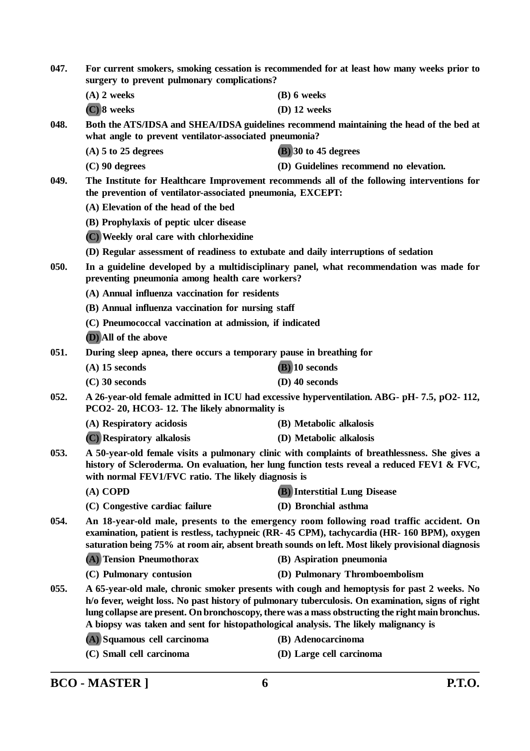| 047. | For current smokers, smoking cessation is recommended for at least how many weeks prior to<br>surgery to prevent pulmonary complications?                                                                                                                                                  |                                                                                                                                                                                                                                                                                                      |
|------|--------------------------------------------------------------------------------------------------------------------------------------------------------------------------------------------------------------------------------------------------------------------------------------------|------------------------------------------------------------------------------------------------------------------------------------------------------------------------------------------------------------------------------------------------------------------------------------------------------|
|      | $(A)$ 2 weeks                                                                                                                                                                                                                                                                              | $(B)$ 6 weeks                                                                                                                                                                                                                                                                                        |
|      | $(C)$ 8 weeks                                                                                                                                                                                                                                                                              | $(D)$ 12 weeks                                                                                                                                                                                                                                                                                       |
| 048. | what angle to prevent ventilator-associated pneumonia?                                                                                                                                                                                                                                     | Both the ATS/IDSA and SHEA/IDSA guidelines recommend maintaining the head of the bed at                                                                                                                                                                                                              |
|      | $(A)$ 5 to 25 degrees                                                                                                                                                                                                                                                                      | $(B)$ 30 to 45 degrees                                                                                                                                                                                                                                                                               |
|      | $(C)$ 90 degrees                                                                                                                                                                                                                                                                           | (D) Guidelines recommend no elevation.                                                                                                                                                                                                                                                               |
| 049. | the prevention of ventilator-associated pneumonia, EXCEPT:                                                                                                                                                                                                                                 | The Institute for Healthcare Improvement recommends all of the following interventions for                                                                                                                                                                                                           |
|      | (A) Elevation of the head of the bed                                                                                                                                                                                                                                                       |                                                                                                                                                                                                                                                                                                      |
|      | (B) Prophylaxis of peptic ulcer disease                                                                                                                                                                                                                                                    |                                                                                                                                                                                                                                                                                                      |
|      | (C) Weekly oral care with chlorhexidine                                                                                                                                                                                                                                                    |                                                                                                                                                                                                                                                                                                      |
|      | (D) Regular assessment of readiness to extubate and daily interruptions of sedation                                                                                                                                                                                                        |                                                                                                                                                                                                                                                                                                      |
| 050. | preventing pneumonia among health care workers?                                                                                                                                                                                                                                            | In a guideline developed by a multidisciplinary panel, what recommendation was made for                                                                                                                                                                                                              |
|      | (A) Annual influenza vaccination for residents                                                                                                                                                                                                                                             |                                                                                                                                                                                                                                                                                                      |
|      | (B) Annual influenza vaccination for nursing staff                                                                                                                                                                                                                                         |                                                                                                                                                                                                                                                                                                      |
|      | (C) Pneumococcal vaccination at admission, if indicated                                                                                                                                                                                                                                    |                                                                                                                                                                                                                                                                                                      |
|      | (D) All of the above                                                                                                                                                                                                                                                                       |                                                                                                                                                                                                                                                                                                      |
| 051. | During sleep apnea, there occurs a temporary pause in breathing for                                                                                                                                                                                                                        |                                                                                                                                                                                                                                                                                                      |
|      | $(A)$ 15 seconds                                                                                                                                                                                                                                                                           | $(B)$ 10 seconds                                                                                                                                                                                                                                                                                     |
|      | $(C)$ 30 seconds                                                                                                                                                                                                                                                                           | $(D)$ 40 seconds                                                                                                                                                                                                                                                                                     |
| 052. | PCO2-20, HCO3-12. The likely abnormality is                                                                                                                                                                                                                                                | A 26-year-old female admitted in ICU had excessive hyperventilation. ABG- pH- 7.5, pO2- 112,                                                                                                                                                                                                         |
|      | (A) Respiratory acidosis                                                                                                                                                                                                                                                                   | (B) Metabolic alkalosis                                                                                                                                                                                                                                                                              |
|      | (C) Respiratory alkalosis                                                                                                                                                                                                                                                                  | (D) Metabolic alkalosis                                                                                                                                                                                                                                                                              |
| 053. | A 50-year-old female visits a pulmonary clinic with complaints of breathlessness. She gives a<br>history of Scleroderma. On evaluation, her lung function tests reveal a reduced FEV1 & FVC,<br>with normal FEV1/FVC ratio. The likely diagnosis is                                        |                                                                                                                                                                                                                                                                                                      |
|      | $(A)$ COPD                                                                                                                                                                                                                                                                                 | <b>(B)</b> Interstitial Lung Disease                                                                                                                                                                                                                                                                 |
|      | (C) Congestive cardiac failure                                                                                                                                                                                                                                                             | (D) Bronchial asthma                                                                                                                                                                                                                                                                                 |
| 054. | An 18-year-old male, presents to the emergency room following road traffic accident. On<br>examination, patient is restless, tachypneic (RR-45 CPM), tachycardia (HR-160 BPM), oxygen<br>saturation being 75% at room air, absent breath sounds on left. Most likely provisional diagnosis |                                                                                                                                                                                                                                                                                                      |
|      | (A) Tension Pneumothorax                                                                                                                                                                                                                                                                   | (B) Aspiration pneumonia                                                                                                                                                                                                                                                                             |
|      | (C) Pulmonary contusion                                                                                                                                                                                                                                                                    | (D) Pulmonary Thromboembolism                                                                                                                                                                                                                                                                        |
| 055. | A biopsy was taken and sent for histopathological analysis. The likely malignancy is                                                                                                                                                                                                       | A 65-year-old male, chronic smoker presents with cough and hemoptysis for past 2 weeks. No<br>h/o fever, weight loss. No past history of pulmonary tuberculosis. On examination, signs of right<br>lung collapse are present. On bronchoscopy, there was a mass obstructing the right main bronchus. |
|      | (A) Squamous cell carcinoma                                                                                                                                                                                                                                                                | (B) Adenocarcinoma                                                                                                                                                                                                                                                                                   |
|      | (C) Small cell carcinoma                                                                                                                                                                                                                                                                   | (D) Large cell carcinoma                                                                                                                                                                                                                                                                             |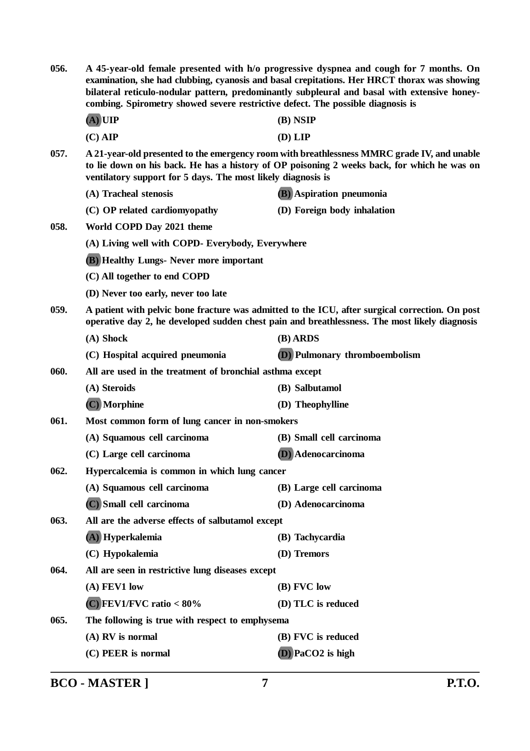| 056.                                                                 | A 45-year-old female presented with h/o progressive dyspnea and cough for 7 months. On<br>examination, she had clubbing, cyanosis and basal crepitations. Her HRCT thorax was showing<br>bilateral reticulo-nodular pattern, predominantly subpleural and basal with extensive honey-<br>combing. Spirometry showed severe restrictive defect. The possible diagnosis is |                                                                                                                                                                                                  |  |  |
|----------------------------------------------------------------------|--------------------------------------------------------------------------------------------------------------------------------------------------------------------------------------------------------------------------------------------------------------------------------------------------------------------------------------------------------------------------|--------------------------------------------------------------------------------------------------------------------------------------------------------------------------------------------------|--|--|
|                                                                      | $(A)$ UIP                                                                                                                                                                                                                                                                                                                                                                | $(B)$ NSIP                                                                                                                                                                                       |  |  |
|                                                                      | $(C)$ AIP                                                                                                                                                                                                                                                                                                                                                                | (D) LIP                                                                                                                                                                                          |  |  |
| 057.<br>ventilatory support for 5 days. The most likely diagnosis is |                                                                                                                                                                                                                                                                                                                                                                          | A 21-year-old presented to the emergency room with breathlessness MMRC grade IV, and unable<br>to lie down on his back. He has a history of OP poisoning 2 weeks back, for which he was on       |  |  |
|                                                                      | (A) Tracheal stenosis                                                                                                                                                                                                                                                                                                                                                    | <b>(B)</b> Aspiration pneumonia                                                                                                                                                                  |  |  |
|                                                                      | (C) OP related cardiomyopathy                                                                                                                                                                                                                                                                                                                                            | (D) Foreign body inhalation                                                                                                                                                                      |  |  |
| 058.                                                                 | World COPD Day 2021 theme                                                                                                                                                                                                                                                                                                                                                |                                                                                                                                                                                                  |  |  |
|                                                                      | (A) Living well with COPD- Everybody, Everywhere                                                                                                                                                                                                                                                                                                                         |                                                                                                                                                                                                  |  |  |
|                                                                      | <b>(B)</b> Healthy Lungs- Never more important                                                                                                                                                                                                                                                                                                                           |                                                                                                                                                                                                  |  |  |
|                                                                      | (C) All together to end COPD                                                                                                                                                                                                                                                                                                                                             |                                                                                                                                                                                                  |  |  |
|                                                                      | (D) Never too early, never too late                                                                                                                                                                                                                                                                                                                                      |                                                                                                                                                                                                  |  |  |
| 059.                                                                 |                                                                                                                                                                                                                                                                                                                                                                          | A patient with pelvic bone fracture was admitted to the ICU, after surgical correction. On post<br>operative day 2, he developed sudden chest pain and breathlessness. The most likely diagnosis |  |  |
|                                                                      | (A) Shock                                                                                                                                                                                                                                                                                                                                                                | (B) ARDS                                                                                                                                                                                         |  |  |
|                                                                      | (C) Hospital acquired pneumonia                                                                                                                                                                                                                                                                                                                                          | (D) Pulmonary thromboembolism                                                                                                                                                                    |  |  |
| 060.                                                                 | All are used in the treatment of bronchial asthma except                                                                                                                                                                                                                                                                                                                 |                                                                                                                                                                                                  |  |  |
|                                                                      | (A) Steroids                                                                                                                                                                                                                                                                                                                                                             | (B) Salbutamol                                                                                                                                                                                   |  |  |
|                                                                      | (C) Morphine                                                                                                                                                                                                                                                                                                                                                             | (D) Theophylline                                                                                                                                                                                 |  |  |
| 061.<br>Most common form of lung cancer in non-smokers               |                                                                                                                                                                                                                                                                                                                                                                          |                                                                                                                                                                                                  |  |  |
|                                                                      | (A) Squamous cell carcinoma                                                                                                                                                                                                                                                                                                                                              | (B) Small cell carcinoma                                                                                                                                                                         |  |  |
|                                                                      | (C) Large cell carcinoma                                                                                                                                                                                                                                                                                                                                                 | (D) Adenocarcinoma                                                                                                                                                                               |  |  |
| 062.                                                                 | Hypercalcemia is common in which lung cancer                                                                                                                                                                                                                                                                                                                             |                                                                                                                                                                                                  |  |  |
|                                                                      | (A) Squamous cell carcinoma                                                                                                                                                                                                                                                                                                                                              | (B) Large cell carcinoma                                                                                                                                                                         |  |  |
|                                                                      | (C) Small cell carcinoma                                                                                                                                                                                                                                                                                                                                                 | (D) Adenocarcinoma                                                                                                                                                                               |  |  |
| 063.                                                                 | All are the adverse effects of salbutamol except                                                                                                                                                                                                                                                                                                                         |                                                                                                                                                                                                  |  |  |
|                                                                      | (A) Hyperkalemia                                                                                                                                                                                                                                                                                                                                                         | (B) Tachycardia                                                                                                                                                                                  |  |  |
|                                                                      | (C) Hypokalemia                                                                                                                                                                                                                                                                                                                                                          | (D) Tremors                                                                                                                                                                                      |  |  |
| 064.                                                                 | All are seen in restrictive lung diseases except                                                                                                                                                                                                                                                                                                                         |                                                                                                                                                                                                  |  |  |
|                                                                      | (A) FEV1 low                                                                                                                                                                                                                                                                                                                                                             | (B) FVC low                                                                                                                                                                                      |  |  |
|                                                                      | $(C)$ FEV1/FVC ratio < 80%                                                                                                                                                                                                                                                                                                                                               | (D) TLC is reduced                                                                                                                                                                               |  |  |
| 065.                                                                 | The following is true with respect to emphysema                                                                                                                                                                                                                                                                                                                          |                                                                                                                                                                                                  |  |  |
|                                                                      | (A) RV is normal                                                                                                                                                                                                                                                                                                                                                         | (B) FVC is reduced                                                                                                                                                                               |  |  |
|                                                                      | (C) PEER is normal                                                                                                                                                                                                                                                                                                                                                       | $(D)$ PaCO2 is high                                                                                                                                                                              |  |  |
|                                                                      |                                                                                                                                                                                                                                                                                                                                                                          |                                                                                                                                                                                                  |  |  |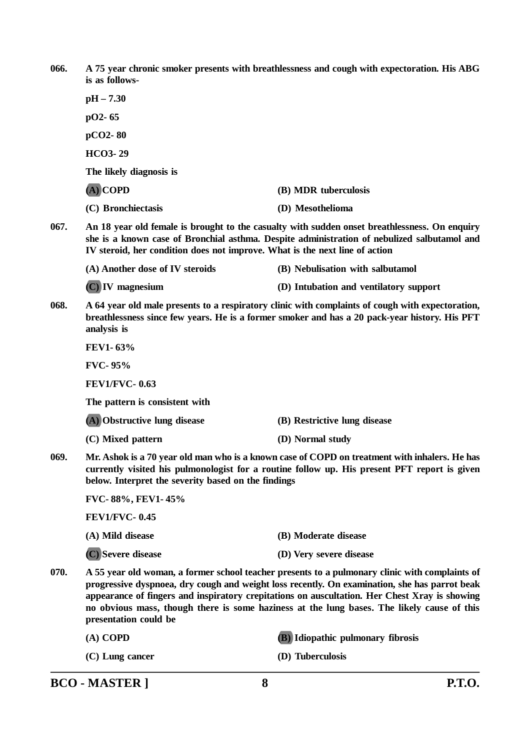**066. A 75 year chronic smoker presents with breathlessness and cough with expectoration. His ABG is as follows-**

**pH – 7.30 pO2- 65 pCO2- 80 HCO3- 29 The likely diagnosis is (A) COPD (B) MDR tuberculosis (C) Bronchiectasis (D) Mesothelioma 067. An 18 year old female is brought to the casualty with sudden onset breathlessness. On enquiry she is a known case of Bronchial asthma. Despite administration of nebulized salbutamol and IV steroid, her condition does not improve. What is the next line of action**

**(A) Another dose of IV steroids (B) Nebulisation with salbutamol (C) IV magnesium (D) Intubation and ventilatory support**

**068. A 64 year old male presents to a respiratory clinic with complaints of cough with expectoration, breathlessness since few years. He is a former smoker and has a 20 pack-year history. His PFT analysis is**

**FEV1- 63%**

**FVC- 95%**

**FEV1/FVC- 0.63**

**The pattern is consistent with**

**(A) Obstructive lung disease (B) Restrictive lung disease**

**(C) Mixed pattern (D) Normal study**

**069. Mr. Ashok is a 70 year old man who is a known case of COPD on treatment with inhalers. He has currently visited his pulmonologist for a routine follow up. His present PFT report is given below. Interpret the severity based on the findings**

**FVC- 88%, FEV1- 45% FEV1/FVC- 0.45**

| (A) Mild disease   | (B) Moderate disease    |
|--------------------|-------------------------|
| (C) Severe disease | (D) Very severe disease |

**070. A 55 year old woman, a former school teacher presents to a pulmonary clinic with complaints of progressive dyspnoea, dry cough and weight loss recently. On examination, she has parrot beak appearance of fingers and inspiratory crepitations on auscultation. Her Chest Xray is showing no obvious mass, though there is some haziness at the lung bases. The likely cause of this presentation could be**

| $(A)$ COPD        | <b>(B)</b> Idiopathic pulmonary fibrosis |
|-------------------|------------------------------------------|
| $(C)$ Lung cancer | (D) Tuberculosis                         |

| <b>P.T.O.</b> |
|---------------|
|               |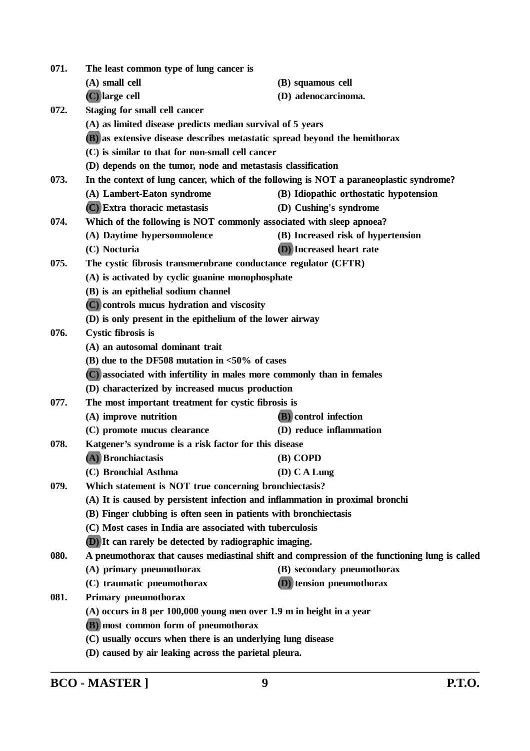| 071. | The least common type of lung cancer is                                       |                                                                                                |
|------|-------------------------------------------------------------------------------|------------------------------------------------------------------------------------------------|
|      | (A) small cell                                                                | (B) squamous cell                                                                              |
|      | (C) large cell                                                                | (D) adenocarcinoma.                                                                            |
| 072. | Staging for small cell cancer                                                 |                                                                                                |
|      | (A) as limited disease predicts median survival of 5 years                    |                                                                                                |
|      | (B) as extensive disease describes metastatic spread beyond the hemithorax    |                                                                                                |
|      | (C) is similar to that for non-small cell cancer                              |                                                                                                |
|      | (D) depends on the tumor, node and metastasis classification                  |                                                                                                |
| 073. |                                                                               | In the context of lung cancer, which of the following is NOT a paraneoplastic syndrome?        |
|      | (A) Lambert-Eaton syndrome                                                    | (B) Idiopathic orthostatic hypotension                                                         |
|      | (C) Extra thoracic metastasis                                                 | (D) Cushing's syndrome                                                                         |
| 074. | Which of the following is NOT commonly associated with sleep apnoea?          |                                                                                                |
|      | (A) Daytime hypersomnolence                                                   | (B) Increased risk of hypertension                                                             |
|      | (C) Nocturia                                                                  | (D) Increased heart rate                                                                       |
| 075. | The cystic fibrosis transmernbrane conductance regulator (CFTR)               |                                                                                                |
|      | (A) is activated by cyclic guanine monophosphate                              |                                                                                                |
|      | (B) is an epithelial sodium channel                                           |                                                                                                |
|      | (C) controls mucus hydration and viscosity                                    |                                                                                                |
|      | (D) is only present in the epithelium of the lower airway                     |                                                                                                |
| 076. | <b>Cystic fibrosis is</b>                                                     |                                                                                                |
|      | (A) an autosomal dominant trait                                               |                                                                                                |
|      | (B) due to the DF508 mutation in $<$ 50% of cases                             |                                                                                                |
|      | (C) associated with infertility in males more commonly than in females        |                                                                                                |
|      | (D) characterized by increased mucus production                               |                                                                                                |
| 077. | The most important treatment for cystic fibrosis is                           |                                                                                                |
|      | (A) improve nutrition                                                         | (B) control infection                                                                          |
|      | (C) promote mucus clearance                                                   | (D) reduce inflammation                                                                        |
| 078. | Katgener's syndrome is a risk factor for this disease                         |                                                                                                |
|      | (A) Bronchiactasis                                                            | (B) COPD                                                                                       |
|      | (C) Bronchial Asthma                                                          | (D) C A Lung                                                                                   |
| 079. | Which statement is NOT true concerning bronchiectasis?                        |                                                                                                |
|      | (A) It is caused by persistent infection and inflammation in proximal bronchi |                                                                                                |
|      | (B) Finger clubbing is often seen in patients with bronchiectasis             |                                                                                                |
|      | (C) Most cases in India are associated with tuberculosis                      |                                                                                                |
|      | (D) It can rarely be detected by radiographic imaging.                        |                                                                                                |
| 080. |                                                                               | A pneumothorax that causes mediastinal shift and compression of the functioning lung is called |
|      | (A) primary pneumothorax                                                      | (B) secondary pneumothorax                                                                     |
|      | (C) traumatic pneumothorax                                                    | (D) tension pneumothorax                                                                       |
| 081. | Primary pneumothorax                                                          |                                                                                                |
|      | $(A)$ occurs in 8 per 100,000 young men over 1.9 m in height in a year        |                                                                                                |
|      | (B) most common form of pneumothorax                                          |                                                                                                |
|      | (C) usually occurs when there is an underlying lung disease                   |                                                                                                |
|      | (D) caused by air leaking across the parietal pleura.                         |                                                                                                |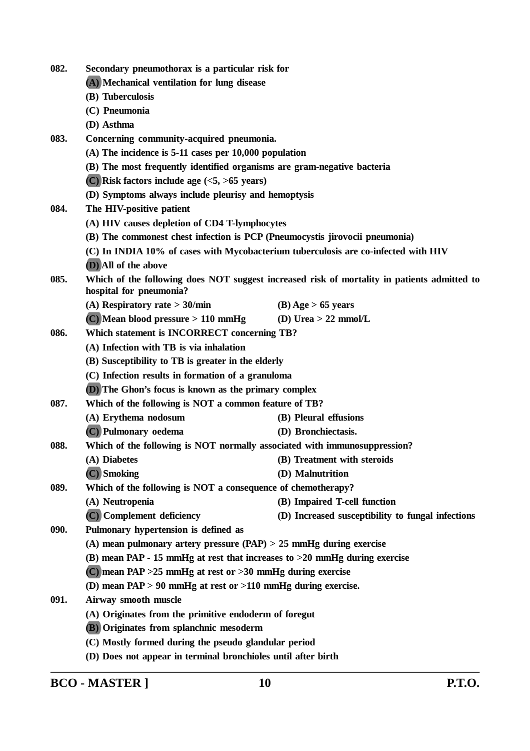| 082. | Secondary pneumothorax is a particular risk for                                    |                                                                                             |
|------|------------------------------------------------------------------------------------|---------------------------------------------------------------------------------------------|
|      | (A) Mechanical ventilation for lung disease<br>(B) Tuberculosis                    |                                                                                             |
|      |                                                                                    |                                                                                             |
|      | (C) Pneumonia                                                                      |                                                                                             |
|      | (D) Asthma                                                                         |                                                                                             |
| 083. | Concerning community-acquired pneumonia.                                           |                                                                                             |
|      | $(A)$ The incidence is 5-11 cases per 10,000 population                            |                                                                                             |
|      | (B) The most frequently identified organisms are gram-negative bacteria            |                                                                                             |
|      | $(C)$ Risk factors include age $(<5, >65$ years)                                   |                                                                                             |
|      | (D) Symptoms always include pleurisy and hemoptysis                                |                                                                                             |
| 084. | The HIV-positive patient                                                           |                                                                                             |
|      | (A) HIV causes depletion of CD4 T-lymphocytes                                      |                                                                                             |
|      | (B) The commonest chest infection is PCP (Pneumocystis jirovocii pneumonia)        |                                                                                             |
|      | (C) In INDIA 10% of cases with Mycobacterium tuberculosis are co-infected with HIV |                                                                                             |
|      | (D) All of the above                                                               |                                                                                             |
| 085. | hospital for pneumonia?                                                            | Which of the following does NOT suggest increased risk of mortality in patients admitted to |
|      | (A) Respiratory rate $>$ 30/min                                                    | $(B)$ Age > 65 years                                                                        |
|      | $(C)$ Mean blood pressure > 110 mmHg                                               | (D) Urea $> 22$ mmol/L                                                                      |
| 086. | Which statement is INCORRECT concerning TB?                                        |                                                                                             |
|      | (A) Infection with TB is via inhalation                                            |                                                                                             |
|      | (B) Susceptibility to TB is greater in the elderly                                 |                                                                                             |
|      | (C) Infection results in formation of a granuloma                                  |                                                                                             |
|      | <b>(D)</b> The Ghon's focus is known as the primary complex                        |                                                                                             |
| 087. | Which of the following is NOT a common feature of TB?                              |                                                                                             |
|      | (A) Erythema nodosum                                                               | (B) Pleural effusions                                                                       |
|      | (C) Pulmonary oedema                                                               | (D) Bronchiectasis.                                                                         |
| 088. | Which of the following is NOT normally associated with immunosuppression?          |                                                                                             |
|      | (A) Diabetes                                                                       | (B) Treatment with steroids                                                                 |
|      | $(C)$ Smoking                                                                      | (D) Malnutrition                                                                            |
| 089. | Which of the following is NOT a consequence of chemotherapy?                       |                                                                                             |
|      | (A) Neutropenia                                                                    | (B) Impaired T-cell function                                                                |
|      | (C) Complement deficiency                                                          | (D) Increased susceptibility to fungal infections                                           |
| 090. | Pulmonary hypertension is defined as                                               |                                                                                             |
|      | (A) mean pulmonary artery pressure $(PAP) > 25$ mmHg during exercise               |                                                                                             |
|      | (B) mean PAP - 15 mmHg at rest that increases to $>20$ mmHg during exercise        |                                                                                             |
|      | (C) mean PAP $>25$ mmHg at rest or $>30$ mmHg during exercise                      |                                                                                             |
|      | (D) mean $PAP > 90$ mmHg at rest or $>110$ mmHg during exercise.                   |                                                                                             |
| 091. | Airway smooth muscle                                                               |                                                                                             |
|      | (A) Originates from the primitive endoderm of foregut                              |                                                                                             |
|      | (B) Originates from splanchnic mesoderm                                            |                                                                                             |
|      | (C) Mostly formed during the pseudo glandular period                               |                                                                                             |
|      | (D) Does not appear in terminal bronchioles until after birth                      |                                                                                             |

**BCO - MASTER ] 10 P.T.O.**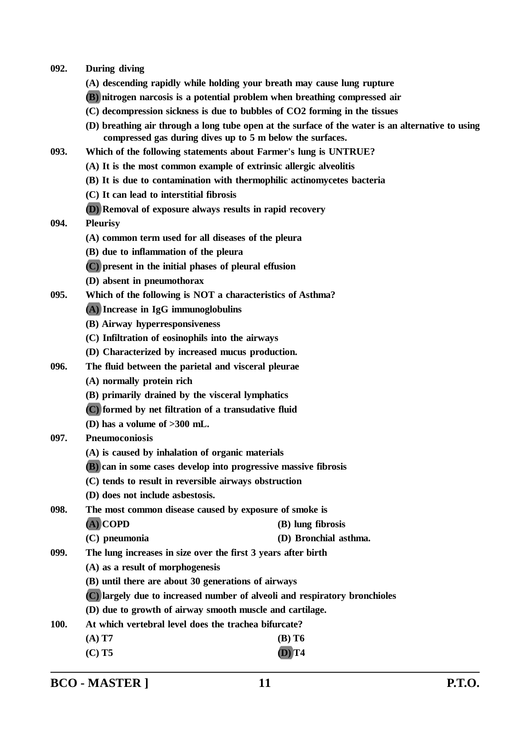- **092. During diving**
	- **(A) descending rapidly while holding your breath may cause lung rupture**
	- **(B) nitrogen narcosis is a potential problem when breathing compressed air**
	- **(C) decompression sickness is due to bubbles of CO2 forming in the tissues**
	- **(D) breathing air through a long tube open at the surface of the water is an alternative to using compressed gas during dives up to 5 m below the surfaces.**
- **093. Which of the following statements about Farmer's lung is UNTRUE?**
	- **(A) It is the most common example of extrinsic allergic alveolitis**
	- **(B) It is due to contamination with thermophilic actinomycetes bacteria**
	- **(C) It can lead to interstitial fibrosis**
	- **(D) Removal of exposure always results in rapid recovery**
- **094. Pleurisy**
	- **(A) common term used for all diseases of the pleura**
	- **(B) due to inflammation of the pleura**
	- **(C) present in the initial phases of pleural effusion**
	- **(D) absent in pneumothorax**
- **095. Which of the following is NOT a characteristics of Asthma?**
	- **(A) Increase in IgG immunoglobulins**
	- **(B) Airway hyperresponsiveness**
	- **(C) Infiltration of eosinophils into the airways**
	- **(D) Characterized by increased mucus production.**
- **096. The fluid between the parietal and visceral pleurae**
	- **(A) normally protein rich**
	- **(B) primarily drained by the visceral lymphatics**
	- **(C) formed by net filtration of a transudative fluid**
	- **(D) has a volume of >300 mL.**
- **097. Pneumoconiosis**
	- **(A) is caused by inhalation of organic materials**
	- **(B) can in some cases develop into progressive massive fibrosis**
	- **(C) tends to result in reversible airways obstruction**
	- **(D) does not include asbestosis.**

**098. The most common disease caused by exposure of smoke is (A) COPD (B) lung fibrosis**

- **(C) pneumonia (D) Bronchial asthma.**
- **099. The lung increases in size over the first 3 years after birth**

**(A) as a result of morphogenesis**

- **(B) until there are about 30 generations of airways**
- **(C) largely due to increased number of alveoli and respiratory bronchioles**
- **(D) due to growth of airway smooth muscle and cartilage.**
- **100. At which vertebral level does the trachea bifurcate?**
	- **(A) T7 (B) T6**
	- **(C) T5 (D) T4**

**BCO - MASTER ] 11 P.T.O.**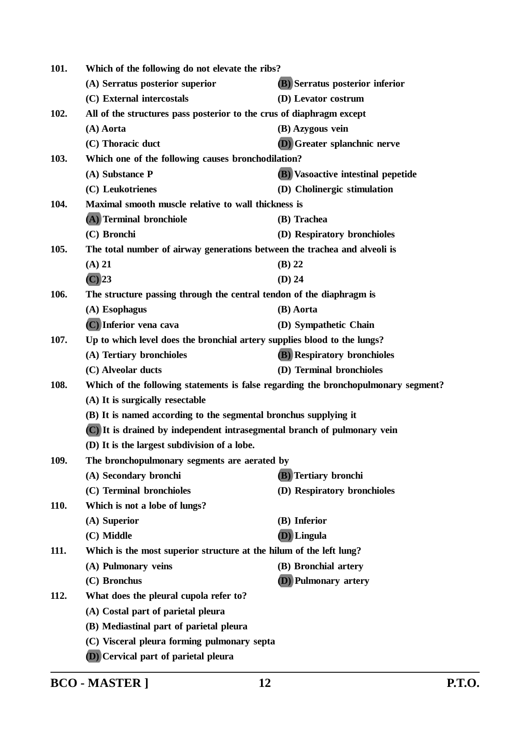| 101. | Which of the following do not elevate the ribs?                                    |                                           |  |
|------|------------------------------------------------------------------------------------|-------------------------------------------|--|
|      | (A) Serratus posterior superior                                                    | (B) Serratus posterior inferior           |  |
|      | (C) External intercostals                                                          | (D) Levator costrum                       |  |
| 102. | All of the structures pass posterior to the crus of diaphragm except               |                                           |  |
|      | (A) Aorta                                                                          | (B) Azygous vein                          |  |
|      | (C) Thoracic duct                                                                  | (D) Greater splanchnic nerve              |  |
| 103. | Which one of the following causes bronchodilation?                                 |                                           |  |
|      | (A) Substance P                                                                    | <b>(B)</b> Vasoactive intestinal pepetide |  |
|      | (C) Leukotrienes                                                                   | (D) Cholinergic stimulation               |  |
| 104. | Maximal smooth muscle relative to wall thickness is                                |                                           |  |
|      | (A) Terminal bronchiole                                                            | (B) Trachea                               |  |
|      | (C) Bronchi                                                                        | (D) Respiratory bronchioles               |  |
| 105. | The total number of airway generations between the trachea and alveoli is          |                                           |  |
|      | $(A)$ 21                                                                           | $(B)$ 22                                  |  |
|      | $\overline{C}$ 23                                                                  | $(D)$ 24                                  |  |
| 106. | The structure passing through the central tendon of the diaphragm is               |                                           |  |
|      | (A) Esophagus                                                                      | (B) Aorta                                 |  |
|      | (C) Inferior vena cava                                                             | (D) Sympathetic Chain                     |  |
| 107. | Up to which level does the bronchial artery supplies blood to the lungs?           |                                           |  |
|      | (A) Tertiary bronchioles                                                           | <b>(B)</b> Respiratory bronchioles        |  |
|      | (C) Alveolar ducts                                                                 | (D) Terminal bronchioles                  |  |
| 108. | Which of the following statements is false regarding the bronchopulmonary segment? |                                           |  |
|      | (A) It is surgically resectable                                                    |                                           |  |
|      | (B) It is named according to the segmental bronchus supplying it                   |                                           |  |
|      | (C) It is drained by independent intrasegmental branch of pulmonary vein           |                                           |  |
|      | (D) It is the largest subdivision of a lobe.                                       |                                           |  |
| 109. | The bronchopulmonary segments are aerated by                                       |                                           |  |
|      | (A) Secondary bronchi                                                              | (B) Tertiary bronchi                      |  |
|      | (C) Terminal bronchioles                                                           | (D) Respiratory bronchioles               |  |
| 110. | Which is not a lobe of lungs?                                                      |                                           |  |
|      | (A) Superior                                                                       | (B) Inferior                              |  |
|      | (C) Middle                                                                         | (D) Lingula                               |  |
| 111. | Which is the most superior structure at the hilum of the left lung?                |                                           |  |
|      | (A) Pulmonary veins                                                                | (B) Bronchial artery                      |  |
|      | (C) Bronchus                                                                       | <b>(D)</b> Pulmonary artery               |  |
| 112. | What does the pleural cupola refer to?                                             |                                           |  |
|      | (A) Costal part of parietal pleura                                                 |                                           |  |
|      | (B) Mediastinal part of parietal pleura                                            |                                           |  |
|      | (C) Visceral pleura forming pulmonary septa                                        |                                           |  |
|      | (D) Cervical part of parietal pleura                                               |                                           |  |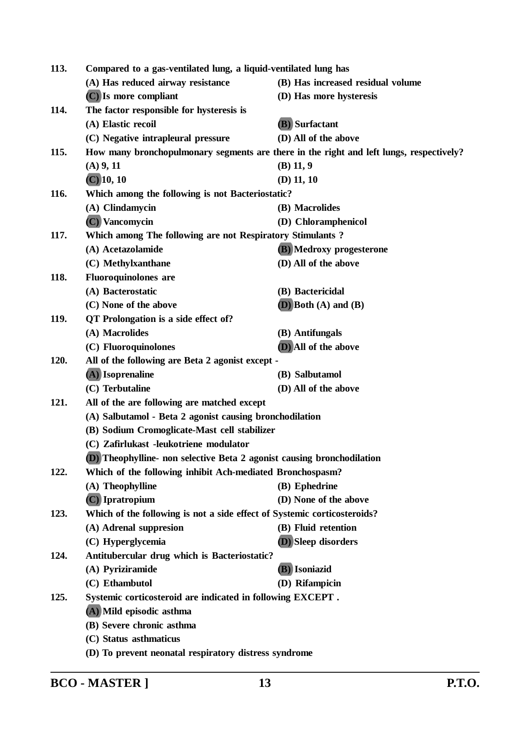| 113. | Compared to a gas-ventilated lung, a liquid-ventilated lung has                                         |                                                                                         |
|------|---------------------------------------------------------------------------------------------------------|-----------------------------------------------------------------------------------------|
|      | (A) Has reduced airway resistance                                                                       | (B) Has increased residual volume                                                       |
|      | (C) Is more compliant                                                                                   | (D) Has more hysteresis                                                                 |
| 114. | The factor responsible for hysteresis is                                                                |                                                                                         |
|      | (A) Elastic recoil                                                                                      | (B) Surfactant                                                                          |
|      | (C) Negative intrapleural pressure                                                                      | (D) All of the above                                                                    |
| 115. |                                                                                                         | How many bronchopulmonary segments are there in the right and left lungs, respectively? |
|      | $(A)$ 9, 11                                                                                             | $(B)$ 11, 9                                                                             |
|      | $(C)$ 10, 10                                                                                            | $(D)$ 11, 10                                                                            |
| 116. | Which among the following is not Bacteriostatic?                                                        |                                                                                         |
|      | (A) Clindamycin                                                                                         | (B) Macrolides                                                                          |
|      | (C) Vancomycin                                                                                          | (D) Chloramphenicol                                                                     |
| 117. | Which among The following are not Respiratory Stimulants?                                               |                                                                                         |
|      | (A) Acetazolamide                                                                                       | (B) Medroxy progesterone                                                                |
|      | (C) Methylxanthane                                                                                      | (D) All of the above                                                                    |
| 118. | <b>Fluoroquinolones</b> are                                                                             |                                                                                         |
|      | (A) Bacterostatic                                                                                       | (B) Bactericidal                                                                        |
|      | (C) None of the above                                                                                   | $(D)$ Both $(A)$ and $(B)$                                                              |
| 119. | QT Prolongation is a side effect of?                                                                    |                                                                                         |
|      | (A) Macrolides                                                                                          | (B) Antifungals                                                                         |
|      | (C) Fluoroquinolones                                                                                    | (D) All of the above                                                                    |
| 120. | All of the following are Beta 2 agonist except -                                                        |                                                                                         |
|      | (A) Isoprenaline                                                                                        | (B) Salbutamol                                                                          |
|      | (C) Terbutaline                                                                                         | (D) All of the above                                                                    |
| 121. | All of the are following are matched except                                                             |                                                                                         |
|      | (A) Salbutamol - Beta 2 agonist causing bronchodilation<br>(B) Sodium Cromoglicate-Mast cell stabilizer |                                                                                         |
|      |                                                                                                         |                                                                                         |
|      | (C) Zafirlukast -leukotriene modulator                                                                  |                                                                                         |
|      | (D) Theophylline- non selective Beta 2 agonist causing bronchodilation                                  |                                                                                         |
| 122. | Which of the following inhibit Ach-mediated Bronchospasm?                                               |                                                                                         |
|      | (A) Theophylline                                                                                        | (B) Ephedrine                                                                           |
|      | (C) Ipratropium                                                                                         | (D) None of the above                                                                   |
| 123. | Which of the following is not a side effect of Systemic corticosteroids?                                |                                                                                         |
|      | (A) Adrenal suppresion                                                                                  | (B) Fluid retention                                                                     |
|      | (C) Hyperglycemia                                                                                       | (D) Sleep disorders                                                                     |
| 124. | Antitubercular drug which is Bacteriostatic?                                                            |                                                                                         |
|      | (A) Pyriziramide                                                                                        | (B) Isoniazid                                                                           |
|      | (C) Ethambutol                                                                                          | (D) Rifampicin                                                                          |
| 125. | Systemic corticosteroid are indicated in following EXCEPT.                                              |                                                                                         |
|      | (A) Mild episodic asthma                                                                                |                                                                                         |
|      | (B) Severe chronic asthma                                                                               |                                                                                         |
|      | (C) Status asthmaticus                                                                                  |                                                                                         |
|      | (D) To prevent neonatal respiratory distress syndrome                                                   |                                                                                         |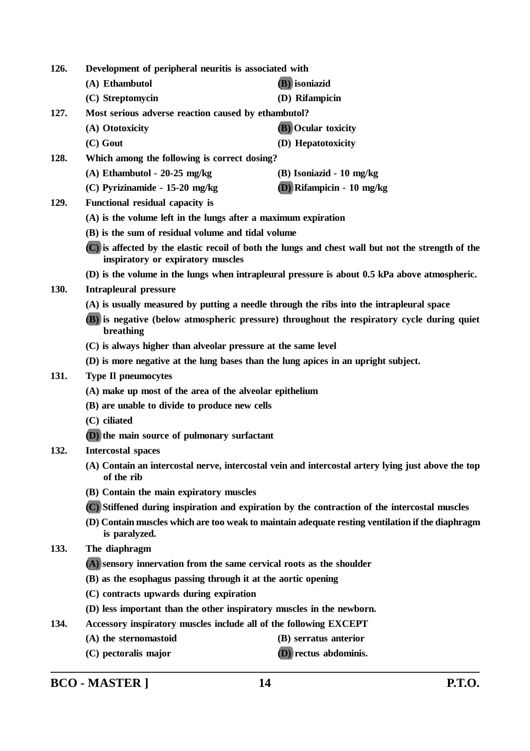| 126.                                                           | Development of peripheral neuritis is associated with                                                   |                                                                                                    |
|----------------------------------------------------------------|---------------------------------------------------------------------------------------------------------|----------------------------------------------------------------------------------------------------|
|                                                                | (A) Ethambutol                                                                                          | (B) isoniazid                                                                                      |
|                                                                | (C) Streptomycin                                                                                        | (D) Rifampicin                                                                                     |
| 127.                                                           | Most serious adverse reaction caused by ethambutol?                                                     |                                                                                                    |
|                                                                | (A) Ototoxicity                                                                                         | <b>(B)</b> Ocular toxicity                                                                         |
|                                                                | $(C)$ Gout                                                                                              | (D) Hepatotoxicity                                                                                 |
| 128.                                                           | Which among the following is correct dosing?                                                            |                                                                                                    |
|                                                                | $(A)$ Ethambutol - 20-25 mg/kg                                                                          | (B) Isoniazid - 10 mg/kg                                                                           |
|                                                                | (C) Pyrizinamide - 15-20 mg/kg                                                                          | $(D)$ Rifampicin - 10 mg/kg                                                                        |
| 129.                                                           | Functional residual capacity is                                                                         |                                                                                                    |
| (A) is the volume left in the lungs after a maximum expiration |                                                                                                         |                                                                                                    |
|                                                                | (B) is the sum of residual volume and tidal volume                                                      |                                                                                                    |
|                                                                | inspiratory or expiratory muscles                                                                       | (C) is affected by the elastic recoil of both the lungs and chest wall but not the strength of the |
|                                                                |                                                                                                         | (D) is the volume in the lungs when intrapleural pressure is about 0.5 kPa above atmospheric.      |
| 130.                                                           | <b>Intrapleural pressure</b>                                                                            |                                                                                                    |
|                                                                |                                                                                                         | (A) is usually measured by putting a needle through the ribs into the intrapleural space           |
|                                                                | (B) is negative (below atmospheric pressure) throughout the respiratory cycle during quiet<br>breathing |                                                                                                    |
|                                                                | (C) is always higher than alveolar pressure at the same level                                           |                                                                                                    |
|                                                                | (D) is more negative at the lung bases than the lung apices in an upright subject.                      |                                                                                                    |
| 131.                                                           | <b>Type II pneumocytes</b>                                                                              |                                                                                                    |
|                                                                | (A) make up most of the area of the alveolar epithelium                                                 |                                                                                                    |
|                                                                | (B) are unable to divide to produce new cells                                                           |                                                                                                    |
|                                                                | (C) ciliated                                                                                            |                                                                                                    |
|                                                                | (D) the main source of pulmonary surfactant                                                             |                                                                                                    |
| 132.                                                           | <b>Intercostal spaces</b>                                                                               |                                                                                                    |
|                                                                | of the rib                                                                                              | (A) Contain an intercostal nerve, intercostal vein and intercostal artery lying just above the top |
|                                                                | (B) Contain the main expiratory muscles                                                                 |                                                                                                    |
|                                                                | (C) Stiffened during inspiration and expiration by the contraction of the intercostal muscles           |                                                                                                    |
|                                                                | is paralyzed.                                                                                           | (D) Contain muscles which are too weak to maintain adequate resting ventilation if the diaphragm   |
| 133.                                                           | The diaphragm                                                                                           |                                                                                                    |
|                                                                | (A) sensory innervation from the same cervical roots as the shoulder                                    |                                                                                                    |
|                                                                | (B) as the esophagus passing through it at the aortic opening                                           |                                                                                                    |
|                                                                | (C) contracts upwards during expiration                                                                 |                                                                                                    |
|                                                                | (D) less important than the other inspiratory muscles in the newborn.                                   |                                                                                                    |
| 134.                                                           | Accessory inspiratory muscles include all of the following EXCEPT                                       |                                                                                                    |
|                                                                | (A) the sternomastoid                                                                                   | (B) serratus anterior                                                                              |
|                                                                | (C) pectoralis major                                                                                    | <b>(D)</b> rectus abdominis.                                                                       |

**BCO - MASTER ] 14 P.T.O.**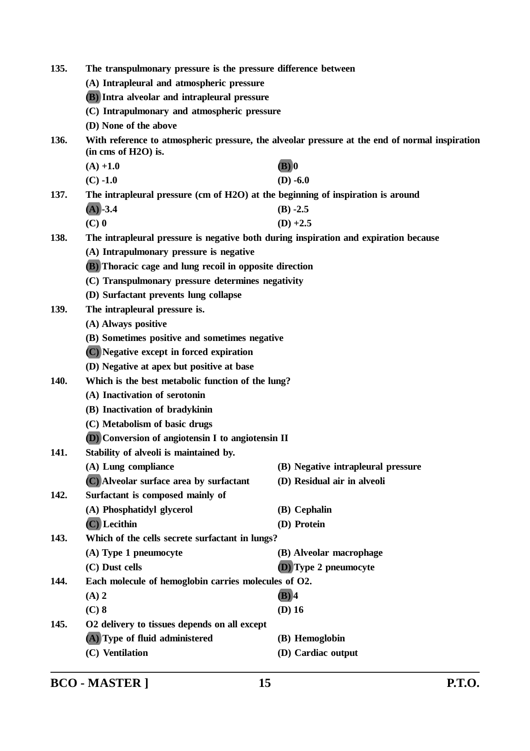| 135. | The transpulmonary pressure is the pressure difference between                                                        |                                    |  |
|------|-----------------------------------------------------------------------------------------------------------------------|------------------------------------|--|
|      | (A) Intrapleural and atmospheric pressure                                                                             |                                    |  |
|      | (B) Intra alveolar and intrapleural pressure                                                                          |                                    |  |
|      | (C) Intrapulmonary and atmospheric pressure<br>(D) None of the above                                                  |                                    |  |
|      |                                                                                                                       |                                    |  |
| 136. | With reference to atmospheric pressure, the alveolar pressure at the end of normal inspiration<br>(in cms of H2O) is. |                                    |  |
|      | $(A) +1.0$                                                                                                            | $(B)$ <sup>0</sup>                 |  |
|      | $(C) -1.0$                                                                                                            | $(D) -6.0$                         |  |
| 137. | The intrapleural pressure (cm of H2O) at the beginning of inspiration is around                                       |                                    |  |
|      | $(A)$ -3.4                                                                                                            | $(B) -2.5$                         |  |
|      | $(C)$ 0                                                                                                               | $(D) +2.5$                         |  |
| 138. | The intrapleural pressure is negative both during inspiration and expiration because                                  |                                    |  |
|      | (A) Intrapulmonary pressure is negative                                                                               |                                    |  |
|      | (B) Thoracic cage and lung recoil in opposite direction                                                               |                                    |  |
|      | (C) Transpulmonary pressure determines negativity                                                                     |                                    |  |
|      | (D) Surfactant prevents lung collapse                                                                                 |                                    |  |
| 139. | The intrapleural pressure is.                                                                                         |                                    |  |
|      | (A) Always positive                                                                                                   |                                    |  |
|      | (B) Sometimes positive and sometimes negative                                                                         |                                    |  |
|      | (C) Negative except in forced expiration                                                                              |                                    |  |
|      | (D) Negative at apex but positive at base                                                                             |                                    |  |
| 140. | Which is the best metabolic function of the lung?                                                                     |                                    |  |
|      | (A) Inactivation of serotonin                                                                                         |                                    |  |
|      | (B) Inactivation of bradykinin                                                                                        |                                    |  |
|      | (C) Metabolism of basic drugs                                                                                         |                                    |  |
|      | (D) Conversion of angiotensin I to angiotensin II                                                                     |                                    |  |
| 141. | Stability of alveoli is maintained by.                                                                                |                                    |  |
|      | (A) Lung compliance                                                                                                   | (B) Negative intrapleural pressure |  |
|      | (C) Alveolar surface area by surfactant                                                                               | (D) Residual air in alveoli        |  |
| 142. | Surfactant is composed mainly of                                                                                      |                                    |  |
|      | (A) Phosphatidyl glycerol                                                                                             | (B) Cephalin                       |  |
|      | $(C)$ Lecithin                                                                                                        | (D) Protein                        |  |
| 143. | Which of the cells secrete surfactant in lungs?                                                                       |                                    |  |
|      | (A) Type 1 pneumocyte                                                                                                 | (B) Alveolar macrophage            |  |
|      | (C) Dust cells                                                                                                        | (D) Type 2 pneumocyte              |  |
| 144. | Each molecule of hemoglobin carries molecules of O2.                                                                  |                                    |  |
|      | $(A)$ 2                                                                                                               | $(B)$ 4                            |  |
|      | $(C)$ 8                                                                                                               | $(D)$ 16                           |  |
| 145. | O2 delivery to tissues depends on all except                                                                          |                                    |  |
|      | (A) Type of fluid administered                                                                                        | (B) Hemoglobin                     |  |
|      | (C) Ventilation                                                                                                       | (D) Cardiac output                 |  |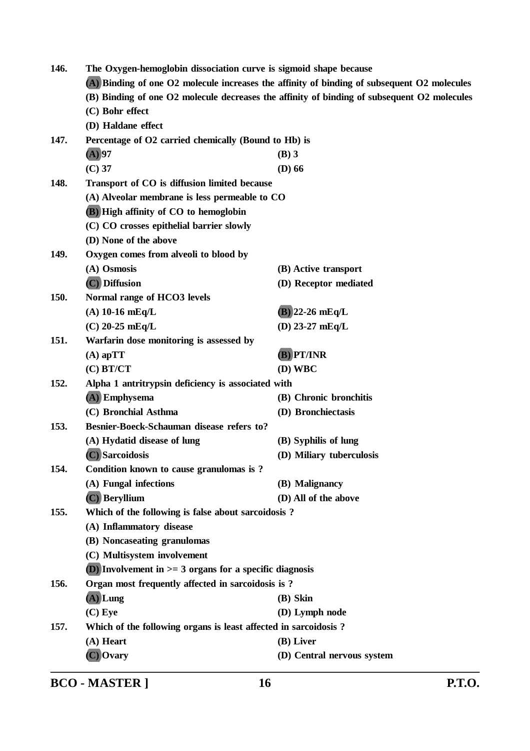| 146.                                                                                                           | The Oxygen-hemoglobin dissociation curve is sigmoid shape because |                            |  |
|----------------------------------------------------------------------------------------------------------------|-------------------------------------------------------------------|----------------------------|--|
| (A) Binding of one O2 molecule increases the affinity of binding of subsequent O2 molecules                    |                                                                   |                            |  |
| (B) Binding of one O2 molecule decreases the affinity of binding of subsequent O2 molecules<br>(C) Bohr effect |                                                                   |                            |  |
|                                                                                                                |                                                                   |                            |  |
| 147.                                                                                                           | Percentage of O2 carried chemically (Bound to Hb) is              |                            |  |
|                                                                                                                | $(A)$ 97                                                          | $(B)$ 3                    |  |
|                                                                                                                | $(C)$ 37                                                          | $(D)$ 66                   |  |
| 148.                                                                                                           | Transport of CO is diffusion limited because                      |                            |  |
|                                                                                                                | (A) Alveolar membrane is less permeable to CO                     |                            |  |
|                                                                                                                | (B) High affinity of CO to hemoglobin                             |                            |  |
|                                                                                                                | (C) CO crosses epithelial barrier slowly                          |                            |  |
|                                                                                                                | (D) None of the above                                             |                            |  |
| 149.                                                                                                           | Oxygen comes from alveoli to blood by                             |                            |  |
|                                                                                                                | (A) Osmosis                                                       | (B) Active transport       |  |
|                                                                                                                | (C) Diffusion                                                     | (D) Receptor mediated      |  |
| 150.                                                                                                           | Normal range of HCO3 levels                                       |                            |  |
|                                                                                                                | $(A)$ 10-16 mEq/L                                                 | $(B)$ 22-26 mEq/L          |  |
|                                                                                                                | $(C)$ 20-25 mEq/L                                                 | (D) $23-27$ mEq/L          |  |
| 151.                                                                                                           | Warfarin dose monitoring is assessed by                           |                            |  |
|                                                                                                                | $(A)$ apTT                                                        | (B) PT/INR                 |  |
|                                                                                                                | $(C)$ BT/CT                                                       | (D) WBC                    |  |
| 152.                                                                                                           | Alpha 1 antritrypsin deficiency is associated with                |                            |  |
|                                                                                                                | (A) Emphysema                                                     | (B) Chronic bronchitis     |  |
|                                                                                                                | (C) Bronchial Asthma                                              | (D) Bronchiectasis         |  |
| 153.                                                                                                           | Besnier-Boeck-Schauman disease refers to?                         |                            |  |
|                                                                                                                | (A) Hydatid disease of lung                                       | (B) Syphilis of lung       |  |
|                                                                                                                | (C) Sarcoidosis                                                   | (D) Miliary tuberculosis   |  |
| 154.                                                                                                           | Condition known to cause granulomas is ?                          |                            |  |
|                                                                                                                | (A) Fungal infections                                             | (B) Malignancy             |  |
|                                                                                                                | (C) Beryllium                                                     | (D) All of the above       |  |
| 155.                                                                                                           | Which of the following is false about sarcoidosis?                |                            |  |
|                                                                                                                | (A) Inflammatory disease                                          |                            |  |
|                                                                                                                | (B) Noncaseating granulomas                                       |                            |  |
|                                                                                                                | (C) Multisystem involvement                                       |                            |  |
| (D) Involvement in $>=$ 3 organs for a specific diagnosis                                                      |                                                                   |                            |  |
| 156.                                                                                                           | Organ most frequently affected in sarcoidosis is?                 |                            |  |
|                                                                                                                | $(A)$ Lung                                                        | (B) Skin                   |  |
|                                                                                                                | $(C)$ Eye                                                         | (D) Lymph node             |  |
| 157.                                                                                                           | Which of the following organs is least affected in sarcoidosis?   |                            |  |
|                                                                                                                | (A) Heart                                                         | (B) Liver                  |  |
|                                                                                                                | C) Ovary                                                          | (D) Central nervous system |  |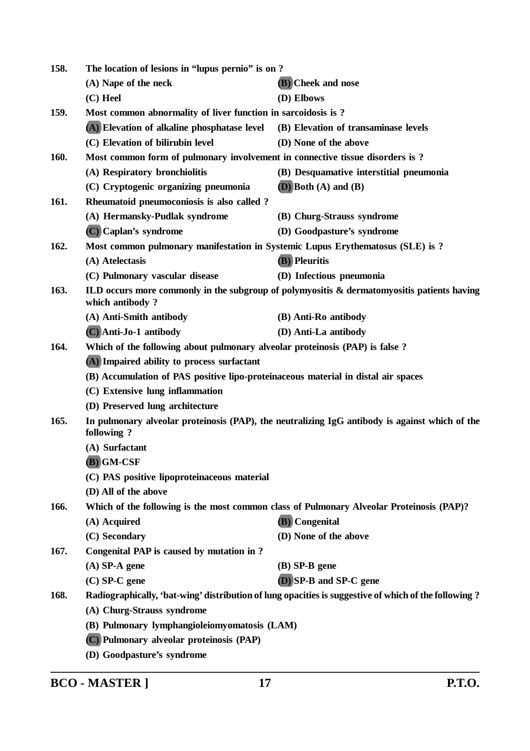| 158.                                              | The location of lesions in "lupus pernio" is on?                                  |                                                                                                      |
|---------------------------------------------------|-----------------------------------------------------------------------------------|------------------------------------------------------------------------------------------------------|
|                                                   | (A) Nape of the neck                                                              | (B) Cheek and nose                                                                                   |
|                                                   | $(C)$ Heel                                                                        | (D) Elbows                                                                                           |
| 159.                                              | Most common abnormality of liver function in sarcoidosis is?                      |                                                                                                      |
|                                                   | (A) Elevation of alkaline phosphatase level                                       | (B) Elevation of transaminase levels                                                                 |
|                                                   | (C) Elevation of bilirubin level                                                  | (D) None of the above                                                                                |
| 160.                                              | Most common form of pulmonary involvement in connective tissue disorders is?      |                                                                                                      |
|                                                   | (A) Respiratory bronchiolitis                                                     | (B) Desquamative interstitial pneumonia                                                              |
|                                                   | (C) Cryptogenic organizing pneumonia                                              | $(D)$ Both $(A)$ and $(B)$                                                                           |
| 161.                                              | Rheumatoid pneumoconiosis is also called ?                                        |                                                                                                      |
|                                                   | (A) Hermansky-Pudlak syndrome                                                     | (B) Churg-Strauss syndrome                                                                           |
|                                                   | (C) Caplan's syndrome                                                             | (D) Goodpasture's syndrome                                                                           |
| 162.                                              | Most common pulmonary manifestation in Systemic Lupus Erythematosus (SLE) is ?    |                                                                                                      |
|                                                   | (A) Atelectasis                                                                   | <b>(B)</b> Pleuritis                                                                                 |
|                                                   | (C) Pulmonary vascular disease                                                    | (D) Infectious pneumonia                                                                             |
| 163.                                              | which antibody?                                                                   | ILD occurs more commonly in the subgroup of polymyositis & dermatomyositis patients having           |
|                                                   | (A) Anti-Smith antibody                                                           | (B) Anti-Ro antibody                                                                                 |
|                                                   | (C) Anti-Jo-1 antibody                                                            | (D) Anti-La antibody                                                                                 |
| 164.                                              | Which of the following about pulmonary alveolar proteinosis (PAP) is false?       |                                                                                                      |
|                                                   | (A) Impaired ability to process surfactant                                        |                                                                                                      |
|                                                   | (B) Accumulation of PAS positive lipo-proteinaceous material in distal air spaces |                                                                                                      |
|                                                   | (C) Extensive lung inflammation                                                   |                                                                                                      |
|                                                   | (D) Preserved lung architecture                                                   |                                                                                                      |
| 165.                                              | following?                                                                        | In pulmonary alveolar proteinosis (PAP), the neutralizing IgG antibody is against which of the       |
|                                                   | (A) Surfactant                                                                    |                                                                                                      |
| $(B)$ GM-CSF                                      |                                                                                   |                                                                                                      |
|                                                   | (C) PAS positive lipoproteinaceous material                                       |                                                                                                      |
|                                                   | (D) All of the above                                                              |                                                                                                      |
| 166.                                              |                                                                                   | Which of the following is the most common class of Pulmonary Alveolar Proteinosis (PAP)?             |
|                                                   | (A) Acquired                                                                      | (B) Congenital                                                                                       |
|                                                   | (C) Secondary                                                                     | (D) None of the above                                                                                |
| 167.<br>Congenital PAP is caused by mutation in ? |                                                                                   |                                                                                                      |
|                                                   | $(A)$ SP-A gene                                                                   | $(B)$ SP-B gene                                                                                      |
|                                                   | $(C)$ SP-C gene                                                                   | (D) SP-B and SP-C gene                                                                               |
| 168.                                              |                                                                                   | Radiographically, 'bat-wing' distribution of lung opacities is suggestive of which of the following? |
|                                                   | (A) Churg-Strauss syndrome                                                        |                                                                                                      |
|                                                   | (B) Pulmonary lymphangioleiomyomatosis (LAM)                                      |                                                                                                      |
|                                                   | (C) Pulmonary alveolar proteinosis (PAP)                                          |                                                                                                      |
|                                                   | (D) Goodpasture's syndrome                                                        |                                                                                                      |

**BCO - MASTER ] 17 P.T.O.**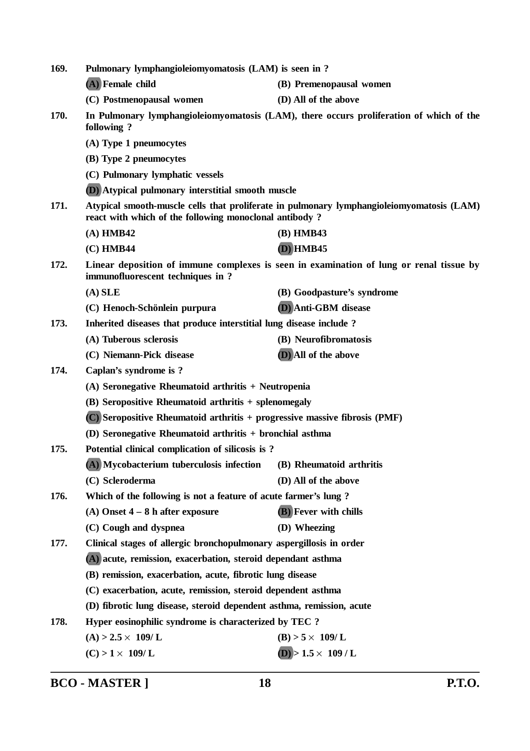| 169. | Pulmonary lymphangioleiomyomatosis (LAM) is seen in ?                                                                                               |                                                                                         |  |  |
|------|-----------------------------------------------------------------------------------------------------------------------------------------------------|-----------------------------------------------------------------------------------------|--|--|
|      | (A) Female child                                                                                                                                    | (B) Premenopausal women                                                                 |  |  |
|      | (C) Postmenopausal women                                                                                                                            | (D) All of the above                                                                    |  |  |
| 170. | In Pulmonary lymphangioleiomyomatosis (LAM), there occurs proliferation of which of the<br>following?                                               |                                                                                         |  |  |
|      | (A) Type 1 pneumocytes                                                                                                                              |                                                                                         |  |  |
|      | (B) Type 2 pneumocytes                                                                                                                              |                                                                                         |  |  |
|      | (C) Pulmonary lymphatic vessels                                                                                                                     |                                                                                         |  |  |
|      | <b>(D)</b> Atypical pulmonary interstitial smooth muscle                                                                                            |                                                                                         |  |  |
| 171. | Atypical smooth-muscle cells that proliferate in pulmonary lymphangioleiomyomatosis (LAM)<br>react with which of the following monoclonal antibody? |                                                                                         |  |  |
|      | $(A)$ HMB42                                                                                                                                         | (B) HMB43                                                                               |  |  |
|      | (C) HMB44                                                                                                                                           | $(D)$ HMB45                                                                             |  |  |
| 172. | immunofluorescent techniques in ?                                                                                                                   | Linear deposition of immune complexes is seen in examination of lung or renal tissue by |  |  |
|      | $(A)$ SLE                                                                                                                                           | (B) Goodpasture's syndrome                                                              |  |  |
|      | (C) Henoch-Schönlein purpura                                                                                                                        | (D) Anti-GBM disease                                                                    |  |  |
| 173. | Inherited diseases that produce interstitial lung disease include?                                                                                  |                                                                                         |  |  |
|      | (A) Tuberous sclerosis                                                                                                                              | (B) Neurofibromatosis                                                                   |  |  |
|      | (C) Niemann-Pick disease                                                                                                                            | (D) All of the above                                                                    |  |  |
| 174. | Caplan's syndrome is ?                                                                                                                              |                                                                                         |  |  |
|      | (A) Seronegative Rheumatoid arthritis + Neutropenia                                                                                                 |                                                                                         |  |  |
|      | (B) Seropositive Rheumatoid arthritis + splenomegaly                                                                                                |                                                                                         |  |  |
|      | (C) Seropositive Rheumatoid arthritis + progressive massive fibrosis (PMF)                                                                          |                                                                                         |  |  |
|      |                                                                                                                                                     | (D) Seronegative Rheumatoid arthritis + bronchial asthma                                |  |  |
| 175. | Potential clinical complication of silicosis is?                                                                                                    |                                                                                         |  |  |
|      | (A) Mycobacterium tuberculosis infection                                                                                                            | (B) Rheumatoid arthritis                                                                |  |  |
|      | (C) Scleroderma                                                                                                                                     | (D) All of the above                                                                    |  |  |
| 176. | Which of the following is not a feature of acute farmer's lung?                                                                                     |                                                                                         |  |  |
|      | (A) Onset $4 - 8$ h after exposure                                                                                                                  | <b>(B)</b> Fever with chills                                                            |  |  |
|      | (C) Cough and dyspnea                                                                                                                               | (D) Wheezing                                                                            |  |  |
| 177. | Clinical stages of allergic bronchopulmonary aspergillosis in order                                                                                 |                                                                                         |  |  |
|      | (A) acute, remission, exacerbation, steroid dependant asthma                                                                                        |                                                                                         |  |  |
|      | (B) remission, exacerbation, acute, fibrotic lung disease                                                                                           |                                                                                         |  |  |
|      | (C) exacerbation, acute, remission, steroid dependent asthma                                                                                        |                                                                                         |  |  |
|      | (D) fibrotic lung disease, steroid dependent asthma, remission, acute                                                                               |                                                                                         |  |  |
| 178. | Hyper eosinophilic syndrome is characterized by TEC ?                                                                                               |                                                                                         |  |  |
|      | $(A) > 2.5 \times 109$ /L                                                                                                                           | $(B) > 5 \times 109/L$                                                                  |  |  |
|      | $(C) > 1 \times 109/L$                                                                                                                              | $(D) > 1.5 \times 109$ / L                                                              |  |  |
|      |                                                                                                                                                     |                                                                                         |  |  |

**BCO - MASTER ] 18 P.T.O.**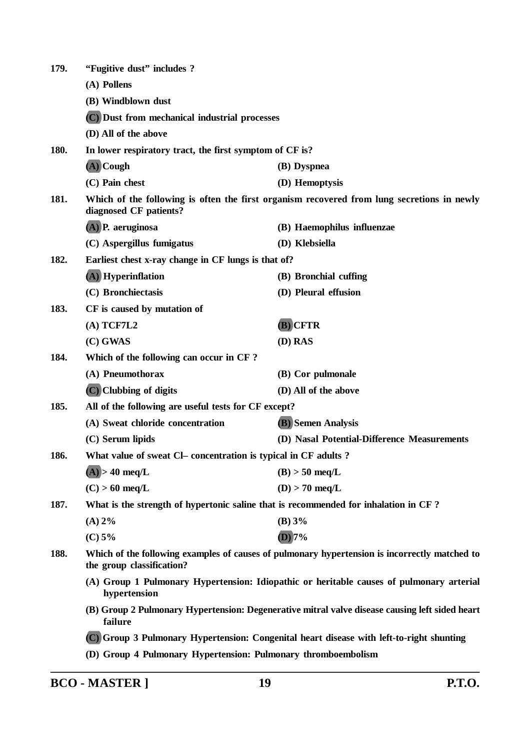| 179. | "Fugitive dust" includes ?                                                                                                                                                                            |                                                                                            |
|------|-------------------------------------------------------------------------------------------------------------------------------------------------------------------------------------------------------|--------------------------------------------------------------------------------------------|
|      | (A) Pollens                                                                                                                                                                                           |                                                                                            |
|      | (B) Windblown dust                                                                                                                                                                                    |                                                                                            |
|      | (C) Dust from mechanical industrial processes                                                                                                                                                         |                                                                                            |
|      | (D) All of the above                                                                                                                                                                                  |                                                                                            |
| 180. | In lower respiratory tract, the first symptom of CF is?                                                                                                                                               |                                                                                            |
|      | $(A)$ Cough                                                                                                                                                                                           | (B) Dyspnea                                                                                |
|      | (C) Pain chest                                                                                                                                                                                        | (D) Hemoptysis                                                                             |
| 181. | diagnosed CF patients?                                                                                                                                                                                | Which of the following is often the first organism recovered from lung secretions in newly |
|      | $(A)$ P. aeruginosa                                                                                                                                                                                   | (B) Haemophilus influenzae                                                                 |
|      | (C) Aspergillus fumigatus                                                                                                                                                                             | (D) Klebsiella                                                                             |
| 182. | Earliest chest x-ray change in CF lungs is that of?                                                                                                                                                   |                                                                                            |
|      | (A) Hyperinflation                                                                                                                                                                                    | (B) Bronchial cuffing                                                                      |
|      | (C) Bronchiectasis                                                                                                                                                                                    | (D) Pleural effusion                                                                       |
| 183. | CF is caused by mutation of                                                                                                                                                                           |                                                                                            |
|      | $(A)$ TCF7L2                                                                                                                                                                                          | (B) CFTR                                                                                   |
|      | $(C)$ GWAS                                                                                                                                                                                            | (D) RAS                                                                                    |
| 184. | Which of the following can occur in CF?                                                                                                                                                               |                                                                                            |
|      | (A) Pneumothorax                                                                                                                                                                                      | (B) Cor pulmonale                                                                          |
|      | (C) Clubbing of digits                                                                                                                                                                                | (D) All of the above                                                                       |
| 185. | All of the following are useful tests for CF except?                                                                                                                                                  |                                                                                            |
|      | (A) Sweat chloride concentration                                                                                                                                                                      | <b>(B)</b> Semen Analysis                                                                  |
|      | (C) Serum lipids                                                                                                                                                                                      | (D) Nasal Potential-Difference Measurements                                                |
| 186. | What value of sweat Cl- concentration is typical in CF adults ?                                                                                                                                       |                                                                                            |
|      | $(A)$ > 40 meq/L                                                                                                                                                                                      | $(B)$ > 50 meq/L                                                                           |
|      | $(C) > 60$ meq/L                                                                                                                                                                                      | $(D) > 70$ meq/L                                                                           |
| 187. | What is the strength of hypertonic saline that is recommended for inhalation in CF?                                                                                                                   |                                                                                            |
|      | $(A) 2\%$                                                                                                                                                                                             | (B) 3%                                                                                     |
|      | (C) 5%                                                                                                                                                                                                | $(D)$ 7%                                                                                   |
| 188. | Which of the following examples of causes of pulmonary hypertension is incorrectly matched to<br>the group classification?                                                                            |                                                                                            |
|      | hypertension                                                                                                                                                                                          | (A) Group 1 Pulmonary Hypertension: Idiopathic or heritable causes of pulmonary arterial   |
|      | (B) Group 2 Pulmonary Hypertension: Degenerative mitral valve disease causing left sided heart<br>failure<br>(C) Group 3 Pulmonary Hypertension: Congenital heart disease with left-to-right shunting |                                                                                            |
|      |                                                                                                                                                                                                       |                                                                                            |
|      | (D) Group 4 Pulmonary Hypertension: Pulmonary thromboembolism                                                                                                                                         |                                                                                            |
|      |                                                                                                                                                                                                       |                                                                                            |